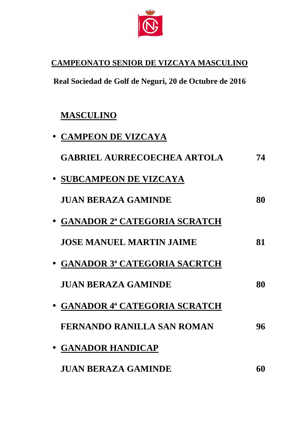

# **CAMPEONATO SENIOR DE VIZCAYA MASCULINO**

**Real Sociedad de Golf de Neguri, 20 de Octubre Octubre de 2016** 

# **MASCULINO**

| • CAMPEON DE VIZCAYA               |    |
|------------------------------------|----|
| <b>GABRIEL AURRECOECHEA ARTOLA</b> | 74 |
| • SUBCAMPEON DE VIZCAYA            |    |
| <b>JUAN BERAZA GAMINDE</b>         | 80 |
| • GANADOR 2ª CATEGORIA SCRATCH     |    |
| <b>JOSE MANUEL MARTIN JAIME</b>    | 81 |
| • GANADOR 3ª CATEGORIA SACRTCH     |    |
| <b>JUAN BERAZA GAMINDE</b>         | 80 |
| • GANADOR 4ª CATEGORIA SCRATCH     |    |
| <b>FERNANDO RANILLA SAN ROMAN</b>  | 96 |
| • GANADOR HANDICAP                 |    |
| <b>JUAN BERAZA GAMINDE</b>         | 60 |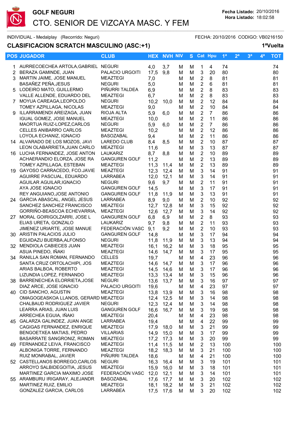

### **CLASIFICACION SCRATCH MASCULINO (ASC:+1) 1ªVuelta**

|    | <b>POS JUGADOR</b>                                           | <b>CLUB</b>                             |             | <b>HEX NVH NIV</b> |        |        | S Cat Hpu                                   |                | 1 <sup>a</sup> | 2 <sup>a</sup> | 3 <sup>a</sup> | $\mathbf{4}^{\mathsf{a}}$ | <b>TOT</b> |
|----|--------------------------------------------------------------|-----------------------------------------|-------------|--------------------|--------|--------|---------------------------------------------|----------------|----------------|----------------|----------------|---------------------------|------------|
|    | 1 AURRECOECHEA ARTOLA, GABRIEL NEGURI                        |                                         | 4,0         | 3,7                | м      | М      | 1                                           | 4              | 74             |                |                |                           | 74         |
|    | 2 BERAZA GAMINDE, JUAN                                       | PALACIO URGOITI                         | 17,5        | 9,8                | M      | M      | $\ensuremath{\mathsf{3}}$                   | 20             | 80             |                |                |                           | 80         |
| 3  | MARTIN JAIME, JOSE MANUEL                                    | <b>MEAZTEGI</b>                         | 7,0         |                    | м      | M      | $\overline{c}$                              | 8              | 81             |                |                |                           | 81         |
|    | BASAÑEZ PEÑA, JESUS                                          | <b>NEGURI</b>                           | 5,0         |                    | м      | M      | $\boldsymbol{2}$                            | 6              | 81             |                |                |                           | 81         |
|    | 5 LODEIRO MATO, GUILLERMO                                    | PIÑURRI TALDEA                          |             |                    |        | M      | $\boldsymbol{2}$                            | 8              | 83             |                |                |                           | 83         |
|    | VALLE ALLENDE, EDUARDO DEL                                   | <b>MEAZTEGI</b>                         | 6,9         |                    | M      |        | $\sqrt{2}$                                  |                | 83             |                |                |                           |            |
|    | 7 MOYUA CAREAGA, LEOPOLDO                                    | <b>NEGURI</b>                           | 6,7<br>10,2 |                    | м      | M      | $\overline{2}$                              | 8<br>12        |                |                |                |                           | 83         |
|    | TOMEY AZPILLAGA, NICOLAS                                     |                                         |             | 10,0               | м      | M      | $\overline{2}$                              |                | 84             |                |                |                           | 84         |
|    | ILLARRAMENDI AREIZAGA, JUAN                                  | <b>MEAZTEGI</b>                         | 9,0         |                    | м      | M      |                                             | 10             | 84             |                |                |                           | 84         |
| 9. |                                                              | RIOJA ALTA                              | 5,9         | 6,0                | м      | M      | $\overline{2}$                              | 7 <sup>1</sup> | 86             |                |                |                           | 86         |
|    | <b>IGUAL GOMEZ, JOSE MANUEL</b>                              | <b>MEAZTEGI</b>                         | 10,0        |                    | м      | M      | $\overline{2}$                              | 11             | 86             |                |                |                           | 86         |
|    | MAORTUA RUIZ-LOPEZ, CARLOS<br><b>CELLES ANIBARRO CARLOS</b>  | <b>NEGURI</b><br><b>MEAZTEGI</b>        | 5,9         | 6,0                | м      | M      | $\boldsymbol{2}$                            | $\overline{7}$ | 86             |                |                |                           | 86         |
|    | LOYOLA ECHANIZ, IGNACIO                                      | <b>BASOZABAL</b>                        | 10,2        |                    | M      | M      | $\sqrt{2}$                                  | 12<br>11       | 86             |                |                |                           | 86         |
|    | 14 ALVARADO DE LOS MOZOS, JAVI                               | LAREDO CLUB                             | 9,4<br>8,4  |                    | м      | M<br>M | $\sqrt{2}$<br>$\sqrt{2}$                    | 10             | 86<br>87       |                |                |                           | 86<br>87   |
|    | LEON OLABARRIETA, JUAN CARLO                                 | <b>MEAZTEGI</b>                         |             | 8,5                | м      | M      | $\ensuremath{\mathsf{3}}$                   | 13             | 87             |                |                |                           | 87         |
|    | 16 LUCHA FERNANDEZ, JOSE ANTON                               | <b>LAUKARIZ</b>                         | 11,6        |                    | M      |        | $\overline{2}$                              | 10             | 89             |                |                |                           |            |
|    | ACHAERANDIO ELORZA, JOSE RA                                  | <b>GANGUREN GOLF</b>                    | 8,7         | 8,8                | M      | M      |                                             |                |                |                |                |                           | 89         |
|    | TOMEY AZPILLAGA, ESTEBAN                                     | <b>MEAZTEGI</b>                         | 11,2        |                    | м      | M      | $\sqrt{2}$<br>$\overline{2}$                | 13             | 89             |                |                |                           | 89         |
|    | 19 GAYOSO CARRACEDO, FCO.JAVIE                               |                                         | 11,3        | 11,4               | M      | M      |                                             | 13             | 89             |                |                |                           | 89         |
|    | AGUIRRE PASCUAL, EDUARDO                                     | <b>MEAZTEGI</b><br>LARRABEA             | 12,3        | 12,4               | м      | M      | 3                                           | 14             | 91             |                |                |                           | 91         |
|    | AGUILAR AGUILAR, IGNACIO                                     | <b>NEGURI</b>                           | 12,0        | 12,1               | м      | M      | $\mathbf{3}$                                | 14             | 91             |                |                |                           | 91         |
|    | AYA JOSE IGNACIO                                             |                                         | 9,6         | 9,7                | м      | M      | $\overline{2}$<br>3                         | 11             | 91             |                |                |                           | 91         |
|    |                                                              | <b>GANGUREN GOLF</b>                    | 14,5        |                    | м      | M      | 3                                           | 17<br>13       | 91<br>91       |                |                |                           | 91         |
|    | REY ANGUIANO, JOSE ANTONIO<br>24 GARCIA ABASCAL, ANGEL JESUS | <b>GANGUREN GOLF</b><br>LARRABEA        | 11,8        | 11,9               | м      | M      |                                             |                |                |                |                |                           | 91         |
|    | SANCHEZ SANCHEZ FRANCISCO                                    | <b>MEAZTEGI</b>                         | 8,9         | 9,0                | м      | M      | $\overline{2}$<br>$\ensuremath{\mathsf{3}}$ | 10<br>15       | 92<br>92       |                |                |                           | 92         |
|    | GORRIÑO-BEASCOA ECHEVARRIA,                                  | <b>MEAZTEGI</b>                         | 12,7        | 12,8               | м      | M      | $\mathbf{3}$                                | 14             | 92             |                |                |                           | 92<br>92   |
|    | 27 MORAL GOIRIGOLZARRI, JOSE L                               |                                         | 12,6        | 12,7               | м      | M      |                                             | 8              | 93             |                |                |                           |            |
|    | ELIAS URETA, GONZALO                                         | <b>GANGUREN GOLF</b><br><b>LAUKARIZ</b> | 6,8         | 6,9                | M<br>м | M<br>M | $\overline{c}$<br>$\overline{2}$            | 11             | 93             |                |                |                           | 93<br>93   |
|    | JIMENEZ URIARTE, JOSE MANUE                                  | FEDERACIÓN VASC                         | 9,7<br>9,1  | 9,8<br>9,2         | м      | M      | $\boldsymbol{2}$                            | 10             | 93             |                |                |                           | 93         |
|    | 30 ARISTIN PALACIOS JULIO                                    | <b>GANGUREN GOLF</b>                    | 14,8        |                    | м      | M      | $\mathbf{3}$                                | 17             | 94             |                |                |                           | 94         |
|    | EGUIDAZU BUERBA, ALFONSO                                     | <b>NEGURI</b>                           | 11,8        | 11,9               | м      | M      | $\mathbf{3}$                                | 13             | 94             |                |                |                           | 94         |
|    | 32 MENDIOLA CABIECES JUAN                                    | <b>MEAZTEGI</b>                         | 16,1        | 16,2               | м      | M      | $\mathbf{3}$                                | 18             | 95             |                |                |                           | 95         |
|    | ASUA PINEDO, IÑAKI                                           | <b>MEAZTEGI</b>                         | 14,6        | 14,7               | м      | M      | 3                                           | 17             | 95             |                |                |                           | 95         |
|    | 34 RANILLA SAN ROMAN, FERNANDO                               | <b>CELLES</b>                           | 19,7        |                    | м      | M      | $\overline{\mathbf{4}}$                     | 23             | 96             |                |                |                           | 96         |
|    | SANTA CRUZ ORTOLACHIPI, JOS                                  | <b>MEAZTEGI</b>                         | 14,6        | 14,7               | м      | M      | 3                                           | 17             | 96             |                |                |                           | 96         |
|    | ARIAS BALBOA, ROBERTO                                        | <b>MEAZTEGI</b>                         | 14,5        | 14,6               | м      | M      | $\mathbf{3}$                                | 17             | 96             |                |                |                           | 96         |
|    | LIZUNDIA LOPEZ, FERNANDO                                     | <b>MEAZTEGI</b>                         | 13,3        | 13,4               | M      | М      | 3                                           | 15             | 96             |                |                |                           | 96         |
|    | 38 BARRENECHEA ELORRIETA, JOSE                               | <b>NEGURI</b>                           | 13,6        | 13,7               | M      | M      | 3                                           | 16             | 97             |                |                |                           | 97         |
|    | DIAZ ARCE, JOSE IGNACIO                                      | PALACIO URGOITI                         | 19,6        |                    | M      | M      | 4                                           | 23             | 97             |                |                |                           | 97         |
|    | 40 CID SANCHO, AGUSTIN                                       | <b>MEAZTEGI</b>                         | 13,8        | 13,9               | M      | M      | 3                                           | 16             | 98             |                |                |                           | 98         |
|    | OMAGOGEASKOA LLANOS, GERARD MEAZTEGI                         |                                         | 12,4        | 12,5               | M      | M      | 3                                           | 14             | 98             |                |                |                           | 98         |
|    | CHALBAUD RODRIGUEZ JAVIER                                    | <b>NEGURI</b>                           | 12,3        | 12,4               | M      | M      | 3                                           | 14             | 98             |                |                |                           | 98         |
|    | LEARRA ARIAS, JUAN LUIS                                      | <b>GANGUREN GOLF</b>                    | 16,6        | 16,7               | м      | M      | 3                                           | 19             | 98             |                |                |                           | 98         |
|    | ARRECHEA EGUIA, IÑAKI                                        | <b>MEAZTEGI</b>                         | 20,4        |                    | м      | M      | 4                                           | 23             | 98             |                |                |                           | 98         |
|    | 45 GALARZA GALINDEZ, JUAN ANGE                               | LARRABEA                                | 19,4        |                    | м      | M      | 4                                           | 22             | 99             |                |                |                           | 99         |
|    | CAGIGAS FERNANDEZ, ENRIQUE                                   | <b>MEAZTEGI</b>                         | 17,9        | 18,0               | м      | M      | 3                                           | 21             | 99             |                |                |                           | 99         |
|    | BENGOETXEA MATIAS, PEDRO                                     | <b>VILLARIAS</b>                        | 14,9        | 15,0               | м      | М      | 3                                           | 17             | 99             |                |                |                           | 99         |
|    | <b>BASARRATE SANGRONIZ, ROMAN</b>                            | <b>MEAZTEGI</b>                         | 17,2        | 17,3               | м      | М      | 3                                           | 20             | 99             |                |                |                           | 99         |
|    | 49 FERNANDEZ LEIVA, FRANCISCO                                | <b>MEAZTEGI</b>                         | 11,4        | 11,5               | м      | М      | $\overline{2}$                              | 13             | 100            |                |                |                           | 100        |
|    | ALBONIGA TORRE, FERNANDO                                     | <b>MEAZTEGI</b>                         | 18,2        | 18,3               | м      | M      | 3                                           | 21             | 100            |                |                |                           | 100        |
|    | RUIZ MONRABAL, JAVIER                                        | PIÑURRI TALDEA                          | 18,6        |                    | м      | м      | $\overline{\mathbf{4}}$                     | 21             | 100            |                |                |                           | 100        |
|    | 52 CASTELLANOS BORREGO, CARLOS                               | <b>NEGURI</b>                           | 16,3        | 16,4               | м      | M      | 3                                           | 19             | 101            |                |                |                           | 101        |
|    | ARROYO SALBIDEGOITIA, JESUS                                  | <b>MEAZTEGI</b>                         | 15,9        | 16,0               | M      | M      | 3                                           | 18             | 101            |                |                |                           | 101        |
|    | MARTINEZ GARCIA MAXIMO JOSE                                  | FEDERACIÓN VASC                         | 12,0        | 12,1               | M      | M      | $\sqrt{3}$                                  | 14             | 101            |                |                |                           | 101        |
|    | 55 ARAMBURU IRIGARAY, ALEJANDR                               | <b>BASOZABAL</b>                        | 17,6        | 17,7               | M      | M      | 3                                           | 20             | 102            |                |                |                           | 102        |
|    | MARTINEZ RUIZ, EMILIO                                        | <b>MEAZTEGI</b>                         | 18,1        | 18,2               | M      | M      | 3                                           | 21             | 102            |                |                |                           | 102        |
|    | GONZALEZ GARCIA, CARLOS                                      | LARRABEA                                | 17,5        | 17,6               | M      | М      | 3                                           | 20             | 102            |                |                |                           | 102        |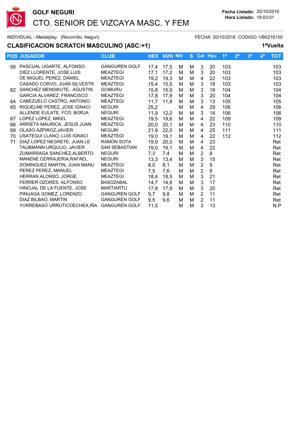

# **CLASIFICACION SCRATCH MASCULINO (ASC:+1)**

|    | <b>POS JUGADOR</b>                        | <b>CLUB</b>          | <b>HEX</b> | <b>NVH NIV</b> |   |   |                | S Cat Hpu | 1 <sup>a</sup> | 2 <sup>a</sup> | 3 <sup>a</sup> | 4 <sup>a</sup> | <b>TOT</b> |
|----|-------------------------------------------|----------------------|------------|----------------|---|---|----------------|-----------|----------------|----------------|----------------|----------------|------------|
|    | 58 PASCUAL UGARTE, ALFONSO                | <b>GANGUREN GOLF</b> | 17,4       | 17,5           | м | м | 3              | 20        | 103            |                |                |                | 103        |
|    | DIEZ LLORENTE, JOSE LUIS                  | <b>MEAZTEGI</b>      | 17,1       | 17,2           | м | M | 3              | 20        | 103            |                |                |                | 103        |
|    | DE MIGUEL PEREZ. DANIEL                   | <b>MEAZTEGI</b>      | 19,2       | 19,3           | м | M | 4              | 22        | 103            |                |                |                | 103        |
|    | CASADO CORVO, JUAN SILVESTR               | <b>MEAZTEGI</b>      | 15,4       | 15,5           | м | M | $\mathbf{3}$   | 18        | 103            |                |                |                | 103        |
|    | 62 SANCHEZ MENDIKUTE, AGUSTIN             | <b>GOIBURU</b>       | 15,8       | 15,9           | M | M | 3              | 18        | 104            |                |                |                | 104        |
|    | GARCIA ALVAREZ, FRANCISCO                 | <b>MEAZTEGI</b>      | 17,8       | 17,9           | м | M | 3              | 20        | 104            |                |                |                | 104        |
| 64 | CABEZUELO CASTRO, ANTONIO                 | <b>MEAZTEGI</b>      | 11,7       | 11,8           | М | M | 3              | 13        | 105            |                |                |                | 105        |
| 65 | RIQUELME PEREZ, JOSE IGNACI               | <b>NEGURI</b>        | 25,2       |                | M | M | 4              | 29        | 106            |                |                |                | 106        |
|    | ALLENDE EULATE, FCO. BORJA                | <b>NEGURI</b>        | 11,9       | 12,0           | м | M | 3              | 14        | 106            |                |                |                | 106        |
| 67 | LOPEZ LOPEZ. MIKEL                        | <b>MEAZTEGI</b>      | 19,5       | 19,6           | м | M | 4              | 22        | 109            |                |                |                | 109        |
| 68 | ARRIETA MAURICA, JESUS JUAN               | <b>MEAZTEGI</b>      | 20,0       | 20,1           | M | M | 4              | 23        | 110            |                |                |                | 110        |
| 69 | OLASO AZPIROZ.JAVIER                      | <b>NEGURI</b>        | 21,9       | 22,0           | M | M | 4              | 25        | 111            |                |                |                | 111        |
| 70 | USATEGUI LLANO, LUIS IGNACI               | <b>MEAZTEGI</b>      | 19,0       | 19,1           | M | M | 4              | 22        | 112            |                |                |                | 112        |
| 71 | DIAZ LOPEZ NEGRETE, JUAN LE               | <b>RAMON SOTA</b>    | 19,9       | 20,0           | м | M | 4              | 23        |                |                |                |                | Ret        |
|    | TAUBMANN URQUIJO, JAVIER                  | <b>SAN SEBASTIAN</b> | 19,0       | 19,1           | M | M | 4              | 22        |                |                |                |                | Ret        |
|    | ZUMARRAGA SANCHEZ.ALBERTO                 | <b>NEGURI</b>        | 7,3        | 7,4            | М | M | $\overline{2}$ | 8         |                |                |                |                | Ret        |
|    | MANENE CERRAJERIA, RAFAEL                 | <b>NEGURI</b>        | 13,3       | 13,4           | м | M | 3              | 15        |                |                |                |                | Ret        |
|    | DOMINGUEZ MARTIN, JUAN MANU               | <b>MEAZTEGI</b>      | 8,0        | 8,1            | M | M | $\overline{2}$ | 9         |                |                |                |                | Ret        |
|    | PEREZ PEREZ, MANUEL                       | <b>MEAZTEGI</b>      | 7,5        | 7,6            | М | M | $\overline{2}$ | 8         |                |                |                |                | Ret        |
|    | <b>HERRAN ALONSO, JORGE</b>               | <b>MEAZTEGI</b>      | 18,4       | 18,5           | M | M | 3              | 21        |                |                |                |                | Ret        |
|    | FERRER OZORES, ALFONSO                    | <b>BASOZABAL</b>     | 14,7       | 14,8           | M | M | 3              | 17        |                |                |                |                | Ret        |
|    | HINOJAL DE LA FUENTE. JOSE                | <b>MARTIARTU</b>     | 17,8       | 17,9           | м | M | 3              | 20        |                |                |                |                | Ret        |
|    | PINUAGA GOMEZ, LORENZO                    | <b>GANGUREN GOLF</b> | 9,7        | 9,8            | м | M | $\overline{2}$ | 11        |                |                |                |                | Ret        |
|    | DIAZ BILBAO, MARTIN                       | <b>GANGUREN GOLF</b> | 9,5        | 9,6            | м | M | $\overline{2}$ | 11        |                |                |                |                | Ret        |
|    | YURREBASO URRUTICOECHEA.IÑA GANGUREN GOLF |                      | 11,5       |                | M | M | 3              | 13        |                |                |                |                | N.P        |
|    |                                           |                      |            |                |   |   |                |           |                |                |                |                |            |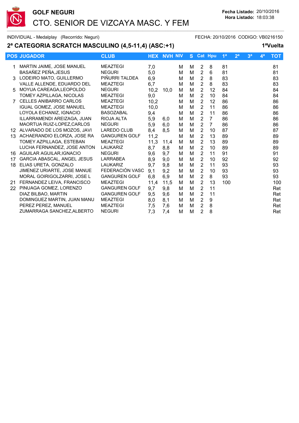

### **2ª CATEGORIA SCRATCH MASCULINO (4,5-11,4) (ASC:+1) 1ªVuelta**

|     | <b>POS JUGADOR</b>                 | <b>CLUB</b>          |      | <b>HEX NVH NIV</b> |   | S. | <b>Cat Hpu</b> |                | 1 <sup>a</sup> | 2 <sup>a</sup> | 3 <sup>a</sup> | 4 <sup>a</sup> | <b>TOT</b> |
|-----|------------------------------------|----------------------|------|--------------------|---|----|----------------|----------------|----------------|----------------|----------------|----------------|------------|
|     | MARTIN JAIME, JOSE MANUEL          | <b>MEAZTEGI</b>      | 7,0  |                    | м | М  | $\overline{2}$ | 8              | 81             |                |                |                | 81         |
|     | BASAÑEZ PEÑA, JESUS                | <b>NEGURI</b>        | 5,0  |                    | м | M  | $\overline{2}$ | 6              | 81             |                |                |                | 81         |
| 3   | LODEIRO MATO, GUILLERMO            | PIÑURRI TALDEA       | 6,9  |                    | м | м  | $\overline{2}$ | 8              | 83             |                |                |                | 83         |
|     | VALLE ALLENDE, EDUARDO DEL         | <b>MEAZTEGI</b>      | 6,7  |                    | м | м  | $\overline{2}$ | 8              | 83             |                |                |                | 83         |
| .5  | MOYUA CAREAGA, LEOPOLDO            | <b>NEGURI</b>        | 10,2 | 10.0               | м | M  | $\overline{2}$ | 12             | 84             |                |                |                | 84         |
|     | TOMEY AZPILLAGA, NICOLAS           | <b>MEAZTEGI</b>      | 9,0  |                    | м | M  | 2              | 10             | 84             |                |                |                | 84         |
|     | <b>CELLES ANIBARRO CARLOS</b>      | <b>MEAZTEGI</b>      | 10,2 |                    | м | M  | $\overline{2}$ | 12             | 86             |                |                |                | 86         |
|     | IGUAL GOMEZ, JOSE MANUEL           | <b>MEAZTEGI</b>      | 10,0 |                    | м | М  | 2              | 11             | 86             |                |                |                | 86         |
|     | LOYOLA ECHANIZ, IGNACIO            | <b>BASOZABAL</b>     | 9,4  |                    | M | м  | 2              | 11             | 86             |                |                |                | 86         |
|     | ILLARRAMENDI AREIZAGA, JUAN        | RIOJA ALTA           | 5,9  | 6,0                | м | M  | $\overline{2}$ | $\overline{7}$ | 86             |                |                |                | 86         |
|     | MAORTUA RUIZ-LOPEZ, CARLOS         | <b>NEGURI</b>        | 5,9  | 6,0                | м | м  | 2              | $\overline{7}$ | 86             |                |                |                | 86         |
| 12. | ALVARADO DE LOS MOZOS, JAVI        | <b>LAREDO CLUB</b>   | 8,4  | 8.5                | м | M  | $\overline{2}$ | 10             | 87             |                |                |                | 87         |
| 13  | ACHAERANDIO ELORZA, JOSE RA        | <b>GANGUREN GOLF</b> | 11,2 |                    | м | M  | $\overline{2}$ | 13             | 89             |                |                |                | 89         |
|     | TOMEY AZPILLAGA, ESTEBAN           | <b>MEAZTEGI</b>      | 11,3 | 11,4               | м | м  | $\overline{2}$ | 13             | 89             |                |                |                | 89         |
|     | LUCHA FERNANDEZ. JOSE ANTON        | LAUKARIZ             | 8,7  | 8,8                | м | M  | $\overline{2}$ | 10             | 89             |                |                |                | 89         |
| 16  | AGUILAR AGUILAR.IGNACIO            | <b>NEGURI</b>        | 9,6  | 9,7                | м | M  | $\overline{2}$ | 11             | 91             |                |                |                | 91         |
| 17  | <b>GARCIA ABASCAL, ANGEL JESUS</b> | <b>LARRABEA</b>      | 8,9  | 9,0                | м | M  | $\overline{2}$ | 10             | 92             |                |                |                | 92         |
| 18  | ELIAS URETA, GONZALO               | <b>LAUKARIZ</b>      | 9,7  | 9,8                | м | м  | $\overline{2}$ | 11             | 93             |                |                |                | 93         |
|     | JIMENEZ URIARTE, JOSE MANUE        | FEDERACIÓN VASC      | 9,1  | 9,2                | м | M  | $\overline{2}$ | 10             | 93             |                |                |                | 93         |
|     | MORAL GOIRIGOLZARRI, JOSE L        | <b>GANGUREN GOLF</b> | 6,8  | 6,9                | м | M  | $\overline{2}$ | 8              | 93             |                |                |                | 93         |
| 21  | FERNANDEZ LEIVA, FRANCISCO         | <b>MEAZTEGI</b>      | 11,4 | 11,5               | м | М  | $\overline{2}$ | 13             | 100            |                |                |                | 100        |
|     | 22 PINUAGA GOMEZ, LORENZO          | <b>GANGUREN GOLF</b> | 9,7  | 9,8                | м | M  | $\overline{2}$ | 11             |                |                |                |                | Ret        |
|     | DIAZ BILBAO, MARTIN                | <b>GANGUREN GOLF</b> | 9,5  | 9,6                | м | M  | $\overline{2}$ | 11             |                |                |                |                | Ret        |
|     | DOMINGUEZ MARTIN, JUAN MANU        | <b>MEAZTEGI</b>      | 8,0  | 8,1                | м | M  | $\overline{2}$ | 9              |                |                |                |                | Ret        |
|     | PEREZ PEREZ, MANUEL                | <b>MEAZTEGI</b>      | 7,5  | 7,6                | м | M  | $\overline{2}$ | 8              |                |                |                |                | Ret        |
|     | ZUMARRAGA SANCHEZ, ALBERTO         | <b>NEGURI</b>        | 7,3  | 7,4                | М | M  | $\overline{2}$ | 8              |                |                |                |                | Ret        |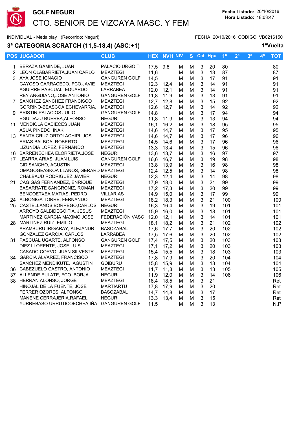

# **3ª CATEGORIA SCRATCH (11,5-18,4) (ASC:+1) 1ªVuelta**

| <b>POS JUGADOR</b>                         | <b>CLUB</b>          | <b>HEX</b> | <b>NVH NIV</b> |   |   |                           | S Cat Hpu | 1 <sup>a</sup> | 2 <sup>a</sup> | 3 <sup>a</sup> | 4ª | <b>TOT</b> |
|--------------------------------------------|----------------------|------------|----------------|---|---|---------------------------|-----------|----------------|----------------|----------------|----|------------|
| 1 BERAZA GAMINDE, JUAN                     | PALACIO URGOITI      | 17,5       | 9,8            | M | м | $\mathbf{3}$              | 20        | 80             |                |                |    | 80         |
| 2 LEON OLABARRIETA, JUAN CARLO             | <b>MEAZTEGI</b>      | 11,6       |                | M | м | $\mathbf{3}$              | 13        | 87             |                |                |    | 87         |
| 3 AYA JOSE IGNACIO                         | <b>GANGUREN GOLF</b> | 14,5       |                | M | M | $\mathbf{3}$              | 17        | 91             |                |                |    | 91         |
| GAYOSO CARRACEDO, FCO.JAVIE                | <b>MEAZTEGI</b>      | 12,3       | 12,4           | м | M | 3                         | 14        | 91             |                |                |    | 91         |
| AGUIRRE PASCUAL, EDUARDO                   | LARRABEA             | 12,0       | 12,1           | м | M | 3                         | 14        | 91             |                |                |    | 91         |
| REY ANGUIANO, JOSE ANTONIO                 | <b>GANGUREN GOLF</b> | 11,8       | 11,9           | M | M | $\mathbf{3}$              | 13        | 91             |                |                |    | 91         |
| 7 SANCHEZ SANCHEZ FRANCISCO                | <b>MEAZTEGI</b>      | 12,7       | 12,8           | м | M | 3                         | 15        | 92             |                |                |    | 92         |
| GORRIÑO-BEASCOA ECHEVARRIA,                | MEAZTEGI             | 12,6       | 12,7           | м | M | 3                         | 14        | 92             |                |                |    | 92         |
| 9 ARISTIN PALACIOS JULIO                   | <b>GANGUREN GOLF</b> | 14,8       |                | М | M | 3                         | 17        | 94             |                |                |    | 94         |
| EGUIDAZU BUERBA, ALFONSO                   | <b>NEGURI</b>        | 11,8       | 11,9           | M | M | $\ensuremath{\mathsf{3}}$ | 13        | 94             |                |                |    | 94         |
| 11 MENDIOLA CABIECES JUAN                  | MEAZTEGI             | 16,1       | 16,2           | м | М | 3                         | 18        | 95             |                |                |    | 95         |
| ASUA PINEDO, IÑAKI                         | <b>MEAZTEGI</b>      | 14,6       | 14,7           | М | M | 3                         | 17        | 95             |                |                |    | 95         |
| 13 SANTA CRUZ ORTOLACHIPI, JOS             | <b>MEAZTEGI</b>      | 14,6       | 14,7           | м | M | $\ensuremath{\mathsf{3}}$ | 17        | 96             |                |                |    | 96         |
| ARIAS BALBOA, ROBERTO                      | MEAZTEGI             | 14,5       | 14,6           | м | M | $\mathbf{3}$              | 17        | 96             |                |                |    | 96         |
| LIZUNDIA LOPEZ, FERNANDO                   | <b>MEAZTEGI</b>      | 13,3       | 13,4           | М | M | 3                         | 15        | 96             |                |                |    | 96         |
| 16 BARRENECHEA ELORRIETA, JOSE             | <b>NEGURI</b>        | 13,6       | 13,7           | м | M | $\mathbf{3}$              | 16        | 97             |                |                |    | 97         |
| 17 LEARRA ARIAS, JUAN LUIS                 | <b>GANGUREN GOLF</b> | 16,6       | 16,7           | М | M | $\mathbf{3}$              | 19        | 98             |                |                |    | 98         |
| CID SANCHO, AGUSTIN                        | <b>MEAZTEGI</b>      | 13,8       | 13,9           | м | M | 3                         | 16        | 98             |                |                |    | 98         |
| OMAGOGEASKOA LLANOS, GERARD MEAZTEGI       |                      | 12,4       | 12,5           | м | M | $\mathbf{3}$              | 14        | 98             |                |                |    | 98         |
| CHALBAUD RODRIGUEZ JAVIER                  | <b>NEGURI</b>        | 12,3       | 12,4           | М | M | $\mathbf{3}$              | 14        | 98             |                |                |    | 98         |
| 21 CAGIGAS FERNANDEZ, ENRIQUE              | MEAZTEGI             | 17,9       | 18.0           | М | M | 3                         | 21        | 99             |                |                |    | 99         |
| BASARRATE SANGRONIZ, ROMAN                 | MEAZTEGI             | 17,2       | 17,3           | м | M | $\mathbf{3}$              | 20        | 99             |                |                |    | 99         |
| BENGOETXEA MATIAS, PEDRO                   | <b>VILLARIAS</b>     | 14,9       | 15,0           | м | M | $\mathbf{3}$              | 17        | 99             |                |                |    | 99         |
| 24 ALBONIGA TORRE, FERNANDO                | <b>MEAZTEGI</b>      | 18,2       | 18,3           | м | M | 3                         | 21        | 100            |                |                |    | 100        |
| 25 CASTELLANOS BORREGO, CARLOS             | <b>NEGURI</b>        | 16,3       | 16,4           | М | M | 3                         | 19        | 101            |                |                |    | 101        |
| ARROYO SALBIDEGOITIA, JESUS                | MEAZTEGI             | 15,9       | 16,0           | м | M | $\ensuremath{\mathsf{3}}$ | 18        | 101            |                |                |    | 101        |
| MARTINEZ GARCIA MAXIMO JOSE                | FEDERACIÓN VASC      | 12,0       | 12,1           | M | M | $\ensuremath{\mathsf{3}}$ | 14        | 101            |                |                |    | 101        |
| 28 MARTINEZ RUIZ, EMILIO                   | <b>MEAZTEGI</b>      | 18,1       | 18,2           | м | M | $\mathfrak{S}$            | 21        | 102            |                |                |    | 102        |
| ARAMBURU IRIGARAY, ALEJANDR                | <b>BASOZABAL</b>     | 17,6       | 17,7           | м | M | $\mathbf{3}$              | 20        | 102            |                |                |    | 102        |
| GONZALEZ GARCIA, CARLOS                    | LARRABEA             | 17,5       | 17,6           | M | M | $\mathbf{3}$              | 20        | 102            |                |                |    | 102        |
| 31 PASCUAL UGARTE, ALFONSO                 | <b>GANGUREN GOLF</b> | 17,4       | 17,5           | M | M | $\mathbf 3$               | 20        | 103            |                |                |    | 103        |
| DIEZ LLORENTE, JOSE LUIS                   | MEAZTEGI             | 17,1       | 17.2           | м | M | $\mathbf{3}$              | 20        | 103            |                |                |    | 103        |
| CASADO CORVO, JUAN SILVESTR                | <b>MEAZTEGI</b>      | 15,4       | 15,5           | М | M | $\mathbf{3}$              | 18        | 103            |                |                |    | 103        |
| 34 GARCIA ALVAREZ, FRANCISCO               | MEAZTEGI             | 17,8       | 17,9           | М | M | $\mathbf 3$               | 20        | 104            |                |                |    | 104        |
| SANCHEZ MENDIKUTE, AGUSTIN                 | <b>GOIBURU</b>       | 15,8       | 15,9           | м | М | $\sqrt{3}$                | 18        | 104            |                |                |    | 104        |
| 36 CABEZUELO CASTRO, ANTONIO               | MEAZTEGI             | 11,7       | 11,8           | м | M | $\mathfrak{S}$            | 13        | 105            |                |                |    | 105        |
| 37 ALLENDE EULATE, FCO. BORJA              | <b>NEGURI</b>        | 11,9       | 12,0           | м | M | $\mathbf{3}$              | 14        | 106            |                |                |    | 106        |
| 38 HERRAN ALONSO, JORGE                    | <b>MEAZTEGI</b>      | 18,4       | 18,5           | м | M | $\mathbf{3}$              | 21        |                |                |                |    | Ret        |
| HINOJAL DE LA FUENTE, JOSE                 | <b>MARTIARTU</b>     | 17,8       | 17,9           | м | M | $\mathbf{3}$              | 20        |                |                |                |    | Ret        |
| FERRER OZORES, ALFONSO                     | <b>BASOZABAL</b>     | 14,7       | 14,8           | м | м | $\mathbf{3}$              | 17        |                |                |                |    | Ret        |
| MANENE CERRAJERIA, RAFAEL                  | <b>NEGURI</b>        | 13,3       | 13,4           | M | M | 3                         | 15        |                |                |                |    | Ret        |
| YURREBASO URRUTICOECHEA, IÑA GANGUREN GOLF |                      | 11,5       |                | М | М | 3                         | 13        |                |                |                |    | N.P        |
|                                            |                      |            |                |   |   |                           |           |                |                |                |    |            |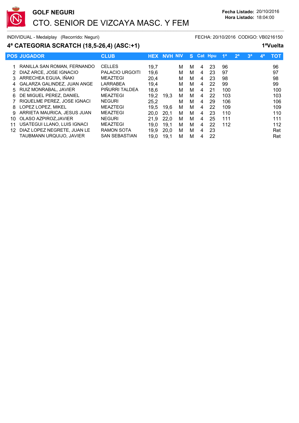

### **4ª CATEGORIA SCRATCH (18,5-26,4) (ASC:+1) 1ªVuelta**

|    | <b>POS JUGADOR</b>            | <b>CLUB</b>            | <b>HEX</b> | <b>NVH NIV</b> |   |   |   | S Cat Hou | 1 <sup>a</sup> | 2 <sup>a</sup> | 3 <sup>a</sup> | 49 | тот |
|----|-------------------------------|------------------------|------------|----------------|---|---|---|-----------|----------------|----------------|----------------|----|-----|
|    |                               |                        |            |                |   |   |   |           |                |                |                |    |     |
|    | 1 RANILLA SAN ROMAN, FERNANDO | <b>CELLES</b>          | 19,7       |                | м | м | 4 | 23        | 96             |                |                |    | 96  |
| 2  | DIAZ ARCE, JOSE IGNACIO       | <b>PALACIO URGOITI</b> | 19,6       |                | м | м | 4 | 23        | .97            |                |                |    | 97  |
|    | 3 ARRECHEA EGUIA. IÑAKI       | <b>MEAZTEGI</b>        | 20,4       |                | м | м | 4 | 23        | 98             |                |                |    | 98  |
|    | 4 GALARZA GALINDEZ, JUAN ANGE | LARRABEA               | 19.4       |                | м | м | 4 | 22        | 99             |                |                |    | 99  |
| 5  | RUIZ MONRABAL, JAVIER         | PIÑURRI TALDEA         | 18,6       |                | м | м | 4 | 21        | 100            |                |                |    | 100 |
| 6  | DE MIGUEL PEREZ, DANIEL       | <b>MEAZTEGI</b>        | 19.2       | 19.3           | м | м | 4 | 22        | 103            |                |                |    | 103 |
|    | RIQUELME PEREZ, JOSE IGNACI   | <b>NEGURI</b>          | 25,2       |                | м | м | 4 | 29        | 106            |                |                |    | 106 |
| 8. | LOPEZ LOPEZ, MIKEL            | <b>MEAZTEGI</b>        | 19.5       | 19.6           | м | м | 4 | 22        | 109            |                |                |    | 109 |
| 9  | ARRIETA MAURICA, JESUS JUAN   | <b>MEAZTEGI</b>        | 20.0       | 20,1           | м | м | 4 | 23        | 110            |                |                |    | 110 |
| 10 | OLASO AZPIROZ.JAVIER          | <b>NEGURI</b>          | 21.9       | 22.0           | M | м | 4 | 25        | 111            |                |                |    | 111 |
| 11 | USATEGUI LLANO, LUIS IGNACI   | <b>MEAZTEGI</b>        | 19.0       | 19.1           | м | м | 4 | 22        | 112            |                |                |    | 112 |
| 12 | DIAZ LOPEZ NEGRETE. JUAN LE   | <b>RAMON SOTA</b>      | 19.9       | 20.0           | м | м | 4 | 23        |                |                |                |    | Ret |
|    | TAUBMANN URQUIJO, JAVIER      | <b>SAN SEBASTIAN</b>   | 19.0       | 19.1           | м | М | 4 | 22        |                |                |                |    | Ret |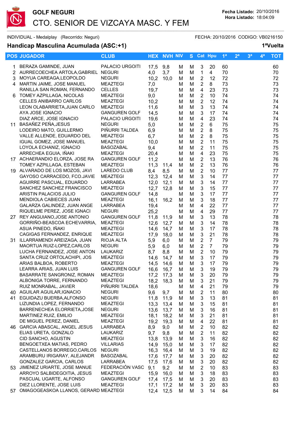

### **Handicap Masculina Acumulada (ASC:+1) 1ªVuelta**

|    | <b>POS JUGADOR</b>                                            | <b>CLUB</b>                             |              | <b>HEX NVH NIV</b> |        | S.     |                                  | Cat Hpu        | 1 <sup>a</sup> | 2 <sup>a</sup> | 3 <sup>a</sup> | 4ª | <b>TOT</b> |
|----|---------------------------------------------------------------|-----------------------------------------|--------------|--------------------|--------|--------|----------------------------------|----------------|----------------|----------------|----------------|----|------------|
| 1. | BERAZA GAMINDE, JUAN                                          | PALACIO URGOITI                         | 17,5         | 9,8                | M      | M      | 3                                | 20             | 60             |                |                |    | 60         |
|    | 2 AURRECOECHEA ARTOLA, GABRIEL NEGURI                         |                                         | 4,0          | 3,7                | M      | M      | $\mathbf 1$                      | $\overline{4}$ | 70             |                |                |    | 70         |
| 3  | MOYUA CAREAGA, LEOPOLDO                                       | <b>NEGURI</b>                           | 10,2         | 10,0               | M      | M      | $\overline{2}$                   | 12             | 72             |                |                |    | 72         |
| 4  | MARTIN JAIME, JOSE MANUEL                                     | <b>MEAZTEGI</b>                         | 7,0          |                    | м      | M      | $\overline{2}$                   | 8              | 73             |                |                |    | 73         |
| 6. | RANILLA SAN ROMAN, FERNANDO<br>TOMEY AZPILLAGA, NICOLAS       | <b>CELLES</b><br><b>MEAZTEGI</b>        | 19,7         |                    | м      | M      | $\overline{4}$<br>$\overline{2}$ | 23             | 73             |                |                |    | 73         |
|    | <b>CELLES ANIBARRO CARLOS</b>                                 | <b>MEAZTEGI</b>                         | 9,0<br>10,2  |                    | M<br>M | M<br>M | $\overline{2}$                   | 10<br>12       | 74<br>74       |                |                |    | 74<br>74   |
|    | LEON OLABARRIETA, JUAN CARLO                                  | <b>MEAZTEGI</b>                         | 11,6         |                    | м      | M      | 3                                | 13             | 74             |                |                |    | 74         |
|    | AYA JOSE IGNACIO                                              | <b>GANGUREN GOLF</b>                    | 14,5         |                    | M      | M      | 3                                | 17             | 74             |                |                |    | 74         |
|    | DIAZ ARCE, JOSE IGNACIO                                       | PALACIO URGOITI                         | 19,6         |                    | м      | M      | 4                                | 23             | 74             |                |                |    | 74         |
|    | 11 BASAÑEZ PEÑA, JESUS                                        | <b>NEGURI</b>                           | 5,0          |                    | м      | M      | $\overline{2}$                   | 6              | 75             |                |                |    | 75         |
|    | LODEIRO MATO, GUILLERMO                                       | PIÑURRI TALDEA                          | 6,9          |                    | M      | M      | $\overline{2}$                   | 8              | 75             |                |                |    | 75         |
|    | VALLE ALLENDE, EDUARDO DEL                                    | <b>MEAZTEGI</b>                         | 6,7          |                    | M      | M      | $\overline{2}$                   | 8              | 75             |                |                |    | 75         |
|    | IGUAL GOMEZ, JOSE MANUEL                                      | <b>MEAZTEGI</b>                         | 10,0         |                    | M      | M      | $\overline{2}$                   | 11             | 75             |                |                |    | 75         |
|    | LOYOLA ECHANIZ, IGNACIO                                       | <b>BASOZABAL</b>                        | 9,4          |                    | M      | M      | $\overline{2}$                   | 11             | 75             |                |                |    | 75         |
|    | ARRECHEA EGUIA, IÑAKI                                         | <b>MEAZTEGI</b>                         | 20,4         |                    | M      | M      | $\overline{\mathbf{4}}$          | 23             | 75             |                |                |    | 75         |
|    | 17 ACHAERANDIO ELORZA, JOSE RA                                | <b>GANGUREN GOLF</b>                    | 11,2         |                    | м      | M      | $\overline{2}$                   | 13             | 76             |                |                |    | 76         |
|    | TOMEY AZPILLAGA, ESTEBAN                                      | <b>MEAZTEGI</b>                         | 11,3         | 11,4               | M      | M      | $\overline{2}$                   | 13             | 76             |                |                |    | 76         |
|    | 19 ALVARADO DE LOS MOZOS, JAVI<br>GAYOSO CARRACEDO, FCO.JAVIE | <b>LAREDO CLUB</b><br><b>MEAZTEGI</b>   | 8,4<br>12,3  | 8,5<br>12,4        | M<br>м | M<br>M | $\overline{2}$<br>3              | 10<br>14       | 77<br>77       |                |                |    | 77<br>77   |
|    | AGUIRRE PASCUAL, EDUARDO                                      | LARRABEA                                | 12,0         | 12,1               | м      | M      | 3                                | 14             | 77             |                |                |    | 77         |
|    | SANCHEZ SANCHEZ FRANCISCO                                     | <b>MEAZTEGI</b>                         | 12,7         | 12,8               | м      | M      | 3                                | 15             | 77             |                |                |    | 77         |
|    | ARISTIN PALACIOS JULIO                                        | <b>GANGUREN GOLF</b>                    | 14,8         |                    | м      | M      | 3                                | 17             | 77             |                |                |    | 77         |
|    | MENDIOLA CABIECES JUAN                                        | <b>MEAZTEGI</b>                         | 16,1         | 16,2               | M      | M      | 3                                | 18             | 77             |                |                |    | 77         |
|    | GALARZA GALINDEZ, JUAN ANGE                                   | LARRABEA                                | 19,4         |                    | M      | M      | $\overline{\mathbf{4}}$          | 22             | 77             |                |                |    | 77         |
|    | RIQUELME PEREZ, JOSE IGNACI                                   | <b>NEGURI</b>                           | 25,2         |                    | M      | M      | $\overline{\mathbf{4}}$          | 29             | 77             |                |                |    | 77         |
|    | 27 REY ANGUIANO, JOSE ANTONIO                                 | <b>GANGUREN GOLF</b>                    | 11,8         | 11,9               | M      | M      | $\ensuremath{\mathsf{3}}$        | 13             | 78             |                |                |    | 78         |
|    | GORRIÑO-BEASCOA ECHEVARRIA,<br>ASUA PINEDO, IÑAKI             | <b>MEAZTEGI</b><br><b>MEAZTEGI</b>      | 12,6<br>14,6 | 12,7<br>14,7       | M<br>M | M<br>M | $\ensuremath{\mathsf{3}}$<br>3   | 14<br>17       | 78<br>78       |                |                |    | 78<br>78   |
|    | CAGIGAS FERNANDEZ, ENRIQUE                                    | <b>MEAZTEGI</b>                         | 17,9         | 18,0               | м      | M      | 3                                | 21             | 78             |                |                |    | 78         |
| 31 | ILLARRAMENDI AREIZAGA, JUAN                                   | RIOJA ALTA                              | 5,9          | 6,0                | м      | M      | $\overline{2}$                   | $\overline{7}$ | 79             |                |                |    | 79         |
|    | MAORTUA RUIZ-LOPEZ, CARLOS                                    | <b>NEGURI</b>                           | 5,9          | 6,0                | м      | M      | $\overline{2}$                   | $\overline{7}$ | 79             |                |                |    | 79         |
|    | LUCHA FERNANDEZ, JOSE ANTON                                   | LAUKARIZ                                | 8,7          | 8,8                | м      | M      | $\overline{2}$                   | 10             | 79             |                |                |    | 79         |
|    | SANTA CRUZ ORTOLACHIPI, JOS                                   | <b>MEAZTEGI</b>                         | 14,6         | 14,7               | M      | M      | 3                                | 17             | 79             |                |                |    | 79         |
|    | ARIAS BALBOA, ROBERTO                                         | <b>MEAZTEGI</b>                         | 14,5         | 14,6               | м      | M      | 3                                | 17             | 79             |                |                |    | 79         |
|    | LEARRA ARIAS, JUAN LUIS                                       | <b>GANGUREN GOLF</b>                    | 16,6         | 16,7               | M      | M      | 3                                | 19             | 79             |                |                |    | 79         |
|    | BASARRATE SANGRONIZ, ROMAN                                    | <b>MEAZTEGI</b><br><b>MEAZTEGI</b>      | 17,2         | 17,3               | M      | M      | 3                                | 20             | 79             |                |                |    | 79         |
|    | ALBONIGA TORRE, FERNANDO<br>RUIZ MONRABAL, JAVIER             | PIÑURRI TALDEA                          | 18,2<br>18,6 | 18,3               | M<br>м | M<br>M | 3<br>4                           | 21<br>21       | 79<br>79       |                |                |    | 79<br>79   |
|    | 40 AGUILAR AGUILAR, IGNACIO                                   | <b>NEGURI</b>                           | 9,6          | 9,7                | M      | M      | $\overline{2}$                   | 11             | 80             |                |                |    | 80         |
|    | 41 EGUIDAZU BUERBA, ALFONSO                                   | <b>NEGURI</b>                           | 11,8         | 11,9               | M      | M      | 3                                | 13             | 81             |                |                |    | 81         |
|    | LIZUNDIA LOPEZ, FERNANDO                                      | <b>MEAZTEGI</b>                         | 13,3         | 13,4               | M      | M      | 3                                | 15             | 81             |                |                |    | 81         |
|    | BARRENECHEA ELORRIETA, JOSE                                   | <b>NEGURI</b>                           | 13,6         | 13,7               | M      | M      | 3                                | 16             | 81             |                |                |    | 81         |
|    | MARTINEZ RUIZ, EMILIO                                         | <b>MEAZTEGI</b>                         | 18,1         | 18,2               | M      | M      | 3                                | 21             | 81             |                |                |    | 81         |
|    | DE MIGUEL PEREZ, DANIEL                                       | MEAZTEGI                                | 19,2         | 19,3               | M      | M      | 4                                | 22             | 81             |                |                |    | 81         |
|    | 46 GARCIA ABASCAL, ANGEL JESUS                                | LARRABEA                                | 8,9          | 9,0                | м      | M      | $\overline{2}$                   | 10             | 82             |                |                |    | 82         |
|    | ELIAS URETA, GONZALO<br>CID SANCHO, AGUSTIN                   | LAUKARIZ<br><b>MEAZTEGI</b>             | 9,7<br>13,8  | 9,8<br>13,9        | м<br>м | M<br>M | $\overline{2}$<br>3              | 11<br>16       | 82<br>82       |                |                |    | 82<br>82   |
|    | BENGOETXEA MATIAS, PEDRO                                      | <b>VILLARIAS</b>                        | 14,9         | 15,0               | м      | M      | 3                                | 17             | 82             |                |                |    | 82         |
|    | CASTELLANOS BORREGO, CARLOS                                   | <b>NEGURI</b>                           | 16,3         | 16,4               | м      | M      | $\mathbf{3}$                     | 19             | 82             |                |                |    | 82         |
|    | ARAMBURU IRIGARAY, ALEJANDR                                   | <b>BASOZABAL</b>                        | 17,6         | 17,7               | м      | M      | 3                                | 20             | 82             |                |                |    | 82         |
|    | GONZALEZ GARCIA, CARLOS                                       | LARRABEA                                | 17,5         | 17,6               | M      | M      | 3                                | 20             | 82             |                |                |    | 82         |
|    | 53 JIMENEZ URIARTE, JOSE MANUE                                | FEDERACIÓN VASC                         | 9,1          | 9,2                | M      | M      | $\boldsymbol{2}$                 | 10             | 83             |                |                |    | 83         |
|    | ARROYO SALBIDEGOITIA, JESUS                                   | <b>MEAZTEGI</b>                         | 15,9         | 16,0               | м      | M      | 3                                | 18             | 83             |                |                |    | 83         |
|    | PASCUAL UGARTE, ALFONSO<br>DIEZ LLORENTE, JOSE LUIS           | <b>GANGUREN GOLF</b><br><b>MEAZTEGI</b> | 17,4         | 17,5               | M      | M      | 3                                | 20             | 83             |                |                |    | 83         |
|    |                                                               |                                         | 17,1         | 17,2               | M      | M      | 3                                | 20             | 83             |                |                |    | 83         |

57 OMAGOGEASKOA LLANOS, GERARD MEAZTEGI 42,4 12,5 M M 3 14 84 64